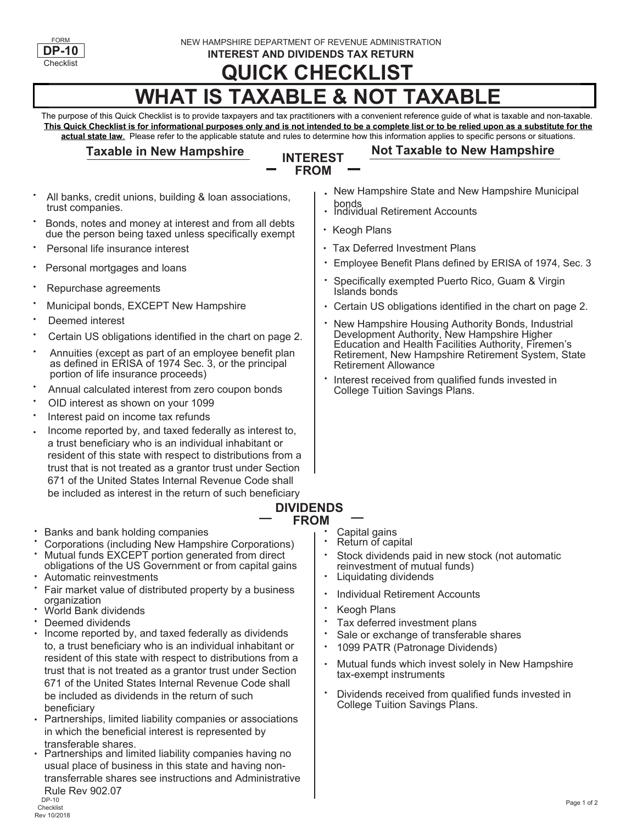

NEW HAMPSHIRE DEPARTMENT OF REVENUE ADMINISTRATION

**INTEREST AND DIVIDENDS TAX RETURN**

# **QUICK CHECKLIST**

## **WHAT IS TAXABLE & NOT TAXABLE**

The purpose of this Quick Checklist is to provide taxpayers and tax practitioners with a convenient reference guide of what is taxable and non-taxable. **This Quick Checklist is for informational purposes only and is not intended to be a complete list or to be relied upon as a substitute for the actual state law**. Please refer to the applicable statute and rules to determine how this information applies to specific persons or situations.

#### **Taxable in New Hampshire**

#### **INTEREST FROM**

#### **Not Taxable to New Hampshire**

- All banks, credit unions, building & loan associations, trust companies. •
- Bonds, notes and money at interest and from all debts due the person being taxed unless specifically exempt •
- Personal life insurance interest
- Personal mortgages and loans
- Repurchase agreements
- Municipal bonds, EXCEPT New Hampshire
- Deemed interest •
- Certain US obligations identified in the chart on page 2.
- Annuities (except as part of an employee benefit plan as defined in ERISA of 1974 Sec. 3, or the principal portion of life insurance proceeds)
- Annual calculated interest from zero coupon bonds
- OID interest as shown on your 1099
- Interest paid on income tax refunds •
- Income reported by, and taxed federally as interest to, a trust beneficiary who is an individual inhabitant or resident of this state with respect to distributions from a trust that is not treated as a grantor trust under Section 671 of the United States Internal Revenue Code shall be included as interest in the return of such beneficiary •
- New Hampshire State and New Hampshire Municipal •
- bonds<br>Individual Retirement Accounts •
- Keogh Plans •
- Tax Deferred Investment Plans •
- Employee Benefit Plans defined by ERISA of 1974, Sec. 3
- Specifically exempted Puerto Rico, Guam & Virgin Islands bonds •
- Certain US obligations identified in the chart on page 2. •
- New Hampshire Housing Authority Bonds, Industrial Development Authority, New Hampshire Higher Education and Health Facilities Authority, Firemen's Retirement, New Hampshire Retirement System, State Retirement Allowance •
- Interest received from qualified funds invested in College Tuition Savings Plans. •

### **— DIVIDENDS**

- Banks and bank holding companies **busines the contract of the Capital gains**
- Mutual funds EXCEPT portion generated from direct Corporations (including New Hampshire Corporations) • •
- Automatic reinvestments obligations of the US Government or from capital gains •
- Fair market value of distributed property by a business organization •
- World Bank dividends
- Deemed dividends •
- Income reported by, and taxed federally as dividends to, a trust beneficiary who is an individual inhabitant or resident of this state with respect to distributions from a trust that is not treated as a grantor trust under Section 671 of the United States Internal Revenue Code shall be included as dividends in the return of such beneficiary •
- Partnerships, limited liability companies or associations in which the beneficial interest is represented by transferable shares. •
- Partnerships and limited liability companies having no usual place of business in this state and having nontransferrable shares see instructions and Administrative Rule Rev 902.07 •
- **FROM Capital gains** • •
	- Return of capital
	- Stock dividends paid in new stock (not automatic reinvestment of mutual funds) •
	- Liquidating dividends •
	- Individual Retirement Accounts •
	- Keogh Plans •
	- Tax deferred investment plans •
	- Sale or exchange of transferable shares •
	- 1099 PATR (Patronage Dividends) •
	- Mutual funds which invest solely in New Hampshire tax-exempt instruments •
	- Dividends received from qualified funds invested in College Tuition Savings Plans. •